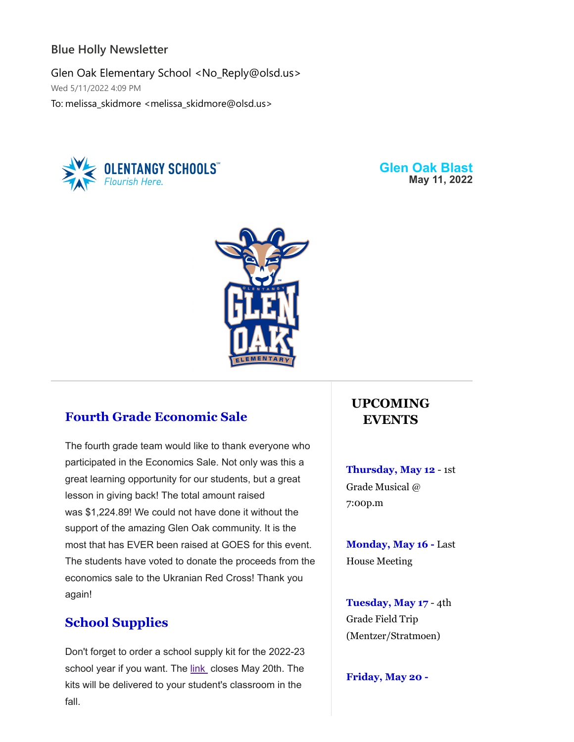### **Blue Holly Newsletter**

Glen Oak Elementary School <No\_Reply@olsd.us> Wed 5/11/2022 4:09 PM To: melissa\_skidmore <melissa\_skidmore@olsd.us>



**Glen Oak Blast May 11, 2022**



# **Fourth Grade Economic Sale**

The fourth grade team would like to thank everyone who participated in the Economics Sale. Not only was this a great learning opportunity for our students, but a great lesson in giving back! The total amount raised was \$1,224.89! We could not have done it without the support of the amazing Glen Oak community. It is the most that has EVER been raised at GOES for this event. The students have voted to donate the proceeds from the economics sale to the Ukranian Red Cross! Thank you again!

# **School Supplies**

Don't forget to order a school supply kit for the 2022-23 school year if you want. The [link](https://www.shopttkits.com/search?filter=&search=42531%20TOALLSCHOOL&type=q&keywordoption=ANY&cid=0&fltrdesc=) closes May 20th. The kits will be delivered to your student's classroom in the fall.

# **UPCOMING EVENTS**

**Thursday, May 12** - 1st Grade Musical @ 7:00p.m

**Monday, May 16 -** Last House Meeting

**Tuesday, May 17** - 4th Grade Field Trip (Mentzer/Stratmoen)

**Friday, May 20 -**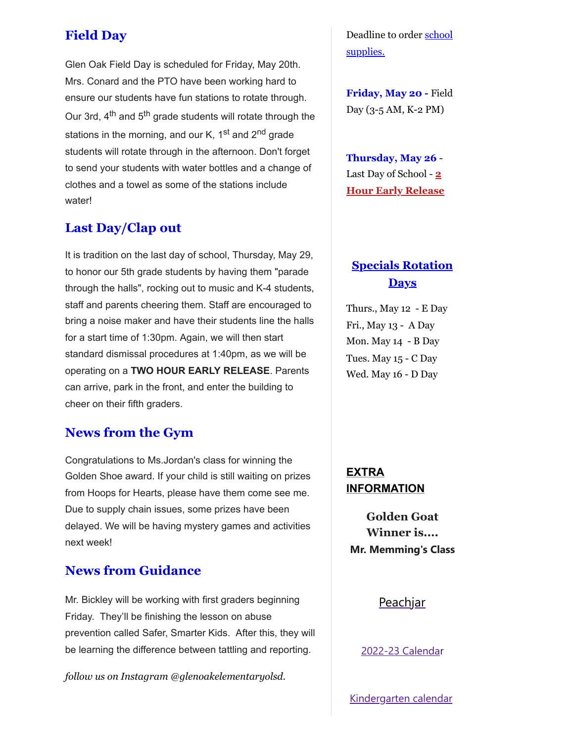# **Field Day**

Glen Oak Field Day is scheduled for Friday, May 20th. Mrs. Conard and the PTO have been working hard to ensure our students have fun stations to rotate through. Our 3rd,  $4^{\text{th}}$  and  $5^{\text{th}}$  grade students will rotate through the stations in the morning, and our K,  $1<sup>st</sup>$  and  $2<sup>nd</sup>$  grade students will rotate through in the afternoon. Don't forget to send your students with water bottles and a change of clothes and a towel as some of the stations include water!

## **Last Day/Clap out**

It is tradition on the last day of school, Thursday, May 29, to honor our 5th grade students by having them "parade through the halls", rocking out to music and K-4 students, staff and parents cheering them. Staff are encouraged to bring a noise maker and have their students line the halls for a start time of 1:30pm. Again, we will then start standard dismissal procedures at 1:40pm, as we will be operating on a **TWO HOUR EARLY RELEASE**. Parents can arrive, park in the front, and enter the building to cheer on their fifth graders.

## **News from the Gym**

Congratulations to Ms.Jordan's class for winning the Golden Shoe award. If your child is still waiting on prizes from Hoops for Hearts, please have them come see me. Due to supply chain issues, some prizes have been delayed. We will be having mystery games and activities next week!

## **News from Guidance**

Mr. Bickley will be working with first graders beginning Friday. They'll be finishing the lesson on abuse prevention called Safer, Smarter Kids. After this, they will be learning the difference between tattling and reporting.

*follow us on Instagram @glenoakelementaryolsd.*

[Deadline to order school](https://goes.olentangy.k12.oh.us/default-board-post-page-glen-oak/~board/glen-oak-elementary-news/post/school-supply-kits) supplies.

**Friday, May 20 -** Field Day (3-5 AM, K-2 PM)

**Thursday, May 26** - Last Day of School - **2 Hour Early Release**

# **Specials Rotation Days**

Thurs., May 12 - E Day Fri., May 13 - A Day Mon. May 14 - B Day Tues. May 15 - C Day Wed. May 16 - D Day

## **EXTRA INFORMATION**

**Golden Goat Winner is.... Mr. Memming's Class**

#### **[Peachjar](https://goes.olentangy.k12.oh.us/parents/eflyers-and-peachjar)**

[2022-23 Calenda](https://resources.finalsite.net/images/v1620050549/olentangyk12ohus/qd6qvmokm7y6lk1e4riu/2022-2023OLSDistrictCalendar.pdf)r

[Kindergarten calendar](https://resources.finalsite.net/images/v1610728354/olentangyk12ohus/suvljtjbbcrvefp8t0eg/Kindergarten2021-2022Calendar-FINAL11321.pdf)